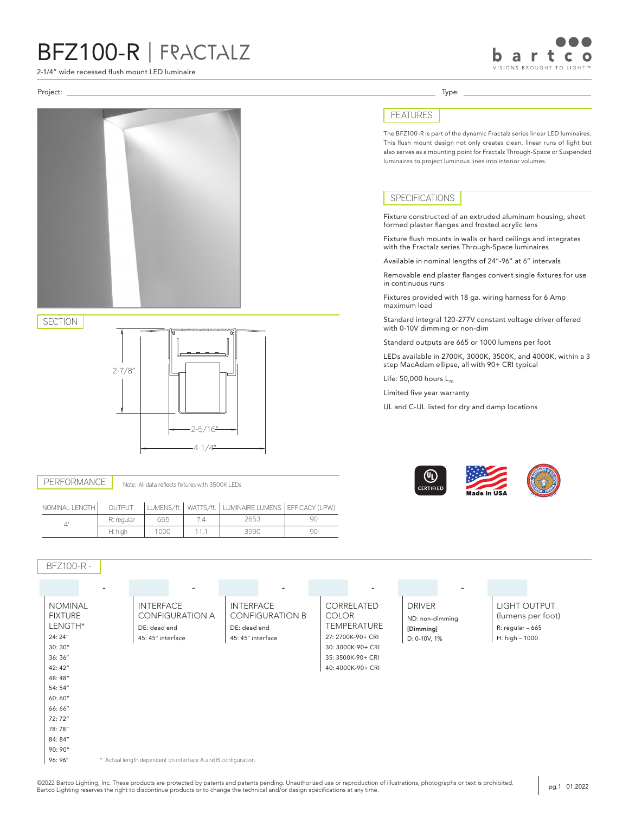## BFZ100-R | FRACTALZ

2-1/4" wide recessed flush mount LED luminaire

2-7/8"

Project: Type:

SECTION

PERFORMANCE



## FEATURES

The BFZ100-R is part of the dynamic Fractalz series linear LED luminaires. This flush mount design not only creates clean, linear runs of light but also serves as a mounting point for Fractalz Through-Space or Suspended luminaires to project luminous lines into interior volumes.

## **SPECIFICATIONS**

Fixture constructed of an extruded aluminum housing, sheet formed plaster flanges and frosted acrylic lens

Fixture flush mounts in walls or hard ceilings and integrates with the Fractalz series Through-Space luminaires

Available in nominal lengths of 24"-96" at 6" intervals

Removable end plaster flanges convert single fixtures for use in continuous runs

Fixtures provided with 18 ga. wiring harness for 6 Amp maximum load

Standard integral 120-277V constant voltage driver offered with 0-10V dimming or non-dim

Standard outputs are 665 or 1000 lumens per foot

LEDs available in 2700K, 3000K, 3500K, and 4000K, within a 3 step MacAdam ellipse, all with 90+ CRI typical

Life:  $50,000$  hours  $L_{70}$ 

Limited five year warranty

UL and C-UL listed for dry and damp locations





Note: All data reflects fixtures with 3500K LEDs

 $-2-5/16$  $4 - 1/4$ "

| BFZ100-R -                                                                                                                                                                 |                                                                                 |                                                                                 |                                                                                                                                      |                                                               |                                                                           |  |  |
|----------------------------------------------------------------------------------------------------------------------------------------------------------------------------|---------------------------------------------------------------------------------|---------------------------------------------------------------------------------|--------------------------------------------------------------------------------------------------------------------------------------|---------------------------------------------------------------|---------------------------------------------------------------------------|--|--|
|                                                                                                                                                                            | ۰<br>$\overline{\phantom{0}}$                                                   | $\overline{a}$                                                                  | $\overline{a}$                                                                                                                       | $\overline{\phantom{a}}$                                      |                                                                           |  |  |
| <b>NOMINAL</b><br><b>FIXTURE</b><br>LENGTH*<br>24: 24"<br>30:30''<br>36: 36"<br>42: 42"<br>48:48"<br>54: 54"<br>60:60"<br>66:66"<br>72:72"<br>78:78"<br>84: 84"<br>90: 90" | <b>INTERFACE</b><br><b>CONFIGURATION A</b><br>DE: dead end<br>45: 45° interface | <b>INTERFACE</b><br><b>CONFIGURATION B</b><br>DE: dead end<br>45: 45° interface | CORRELATED<br><b>COLOR</b><br><b>TEMPERATURE</b><br>27: 2700K-90+ CRI<br>30: 3000K-90+ CRI<br>35: 3500K-90+ CRI<br>40: 4000K-90+ CRI | <b>DRIVER</b><br>ND: non-dimming<br>[Dimming]<br>D: 0-10V, 1% | LIGHT OUTPUT<br>(lumens per foot)<br>$R: regular - 665$<br>H: high - 1000 |  |  |
| 96: 96"                                                                                                                                                                    | * Actual length dependent on interface A and B configuration.                   |                                                                                 |                                                                                                                                      |                                                               |                                                                           |  |  |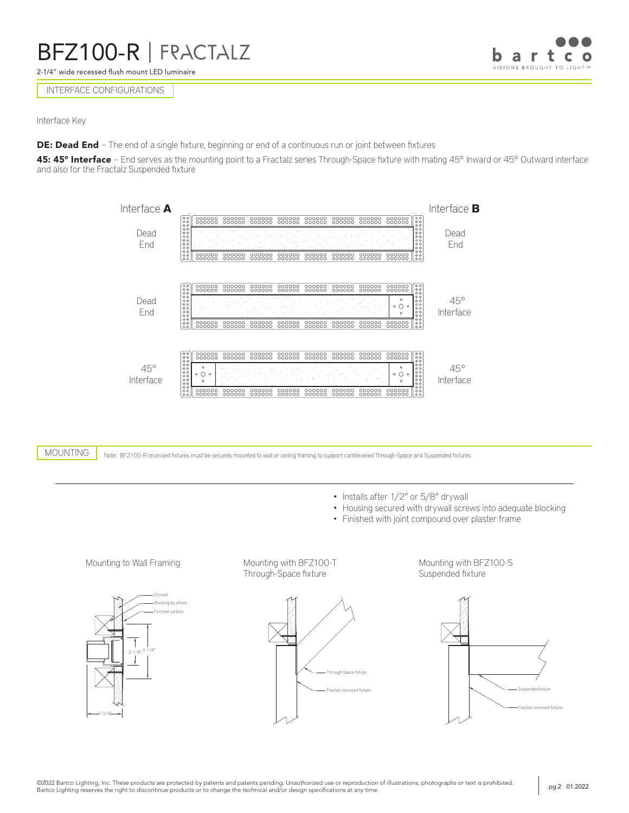2-1/4" wide recessed flush mount LED luminaire

## INTERFACE CONFIGURATIONS

Interface Key

**DE: Dead End** - The end of a single fixture, beginning or end of a continuous run or joint between fixtures

45: 45° Interface - End serves as the mounting point to a Fractalz series Through-Space fixture with mating 45° Inward or 45° Outward interface and also for the Fractalz Suspended fixture



Note: BFZ100-R recessed fixtures must be securely mounted to wall or ceiling framing to support cantilevered Through-Space and Suspended fixtures MOUNTING

- Installs after  $1/2$ " or 5/8" drywall
- Housing secured with drywall screws into adequate blocking
- Finished with joint compound over plaster frame